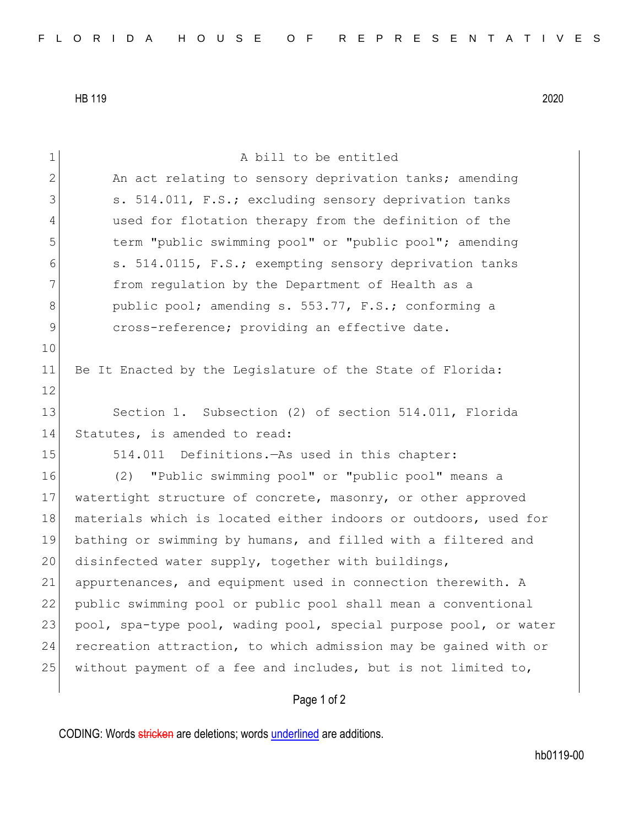HB 119 2020

1 a bill to be entitled 2 An act relating to sensory deprivation tanks; amending 3 S. 514.011, F.S.; excluding sensory deprivation tanks 4 used for flotation therapy from the definition of the 5 term "public swimming pool" or "public pool"; amending 6 s. 514.0115, F.S.; exempting sensory deprivation tanks 7 **from regulation by the Department of Health as a** 8 bublic pool; amending s. 553.77, F.S.; conforming a 9 cross-reference; providing an effective date. 10 11 Be It Enacted by the Legislature of the State of Florida: 12 13 Section 1. Subsection (2) of section 514.011, Florida 14 Statutes, is amended to read: 15 514.011 Definitions.—As used in this chapter: 16 (2) "Public swimming pool" or "public pool" means a 17 watertight structure of concrete, masonry, or other approved 18 materials which is located either indoors or outdoors, used for 19 bathing or swimming by humans, and filled with a filtered and 20 disinfected water supply, together with buildings, 21 appurtenances, and equipment used in connection therewith. A 22 public swimming pool or public pool shall mean a conventional 23 pool, spa-type pool, wading pool, special purpose pool, or water 24 recreation attraction, to which admission may be gained with or 25 without payment of a fee and includes, but is not limited to,

## Page 1 of 2

CODING: Words stricken are deletions; words underlined are additions.